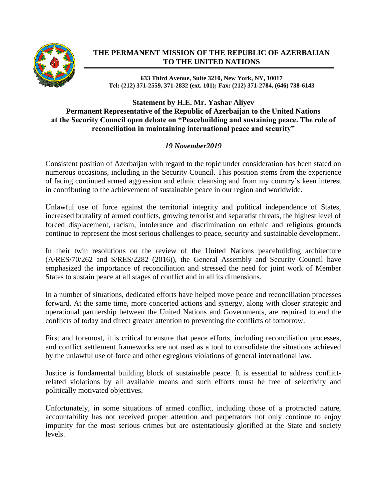

## **THE PERMANENT MISSION OF THE REPUBLIC OF AZERBAIJAN TO THE UNITED NATIONS**

**633 Third Avenue, Suite 3210, New York, NY, 10017 Tel: (212) 371-2559, 371-2832 (ext. 101); Fax: (212) 371-2784, (646) 738-6143**

## **Statement by H.E. Mr. Yashar Aliyev Permanent Representative of the Republic of Azerbaijan to the United Nations at the Security Council open debate on "Peacebuilding and sustaining peace. The role of reconciliation in maintaining international peace and security"**

## *19 November2019*

Consistent position of Azerbaijan with regard to the topic under consideration has been stated on numerous occasions, including in the Security Council. This position stems from the experience of facing continued armed aggression and ethnic cleansing and from my country's keen interest in contributing to the achievement of sustainable peace in our region and worldwide.

Unlawful use of force against the territorial integrity and political independence of States, increased brutality of armed conflicts, growing terrorist and separatist threats, the highest level of forced displacement, racism, intolerance and discrimination on ethnic and religious grounds continue to represent the most serious challenges to peace, security and sustainable development.

In their twin resolutions on the review of the United Nations peacebuilding architecture (A/RES/70/262 and S/RES/2282 (2016)), the General Assembly and Security Council have emphasized the importance of reconciliation and stressed the need for joint work of Member States to sustain peace at all stages of conflict and in all its dimensions.

In a number of situations, dedicated efforts have helped move peace and reconciliation processes forward. At the same time, more concerted actions and synergy, along with closer strategic and operational partnership between the United Nations and Governments, are required to end the conflicts of today and direct greater attention to preventing the conflicts of tomorrow.

First and foremost, it is critical to ensure that peace efforts, including reconciliation processes, and conflict settlement frameworks are not used as a tool to consolidate the situations achieved by the unlawful use of force and other egregious violations of general international law.

Justice is fundamental building block of sustainable peace. It is essential to address conflictrelated violations by all available means and such efforts must be free of selectivity and politically motivated objectives.

Unfortunately, in some situations of armed conflict, including those of a protracted nature, accountability has not received proper attention and perpetrators not only continue to enjoy impunity for the most serious crimes but are ostentatiously glorified at the State and society levels.